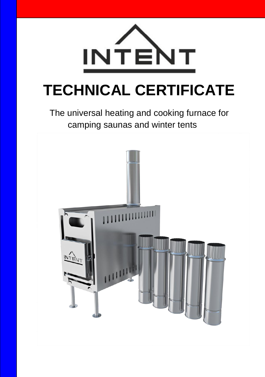

# **TECHNICAL CERTIFICATE**

# The universal heating and cooking furnace for camping saunas and winter tents

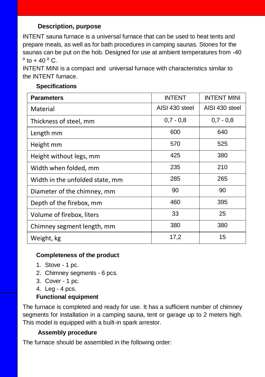## **Description, purpose**

INTENT sauna furnace is a universal furnace that can be used to heat tents and prepare meals, as well as for bath procedures in camping saunas. Stones for the saunas can be put on the hob. Designed for use at ambient temperatures from -40  $^{0}$  to + 40  $^{0}$  C.

INTENT MINI is a compact and universal furnace with characteristics similar to the INTENT furnace.

| <b>Parameters</b>               | <b>INTENT</b>  | <b>INTENT MINI</b> |
|---------------------------------|----------------|--------------------|
| Material                        | AISI 430 steel | AISI 430 steel     |
| Thickness of steel, mm          | $0,7 - 0,8$    | $0,7 - 0,8$        |
| Length mm                       | 600            | 640                |
| Height mm                       | 570            | 525                |
| Height without legs, mm         | 425            | 380                |
| Width when folded, mm           | 235            | 210                |
| Width in the unfolded state, mm | 285            | 265                |
| Diameter of the chimney, mm     | 90             | 90                 |
| Depth of the firebox, mm        | 460            | 395                |
| Volume of firebox, liters       | 33             | 25                 |
| Chimney segment length, mm      | 380            | 380                |
| Weight, kg                      | 17,2           | 15                 |

#### **Specifications**

#### **Completeness of the product**

- 1. Stove 1 pc.
- 2. Chimney segments 6 pcs.
- 3. Cover 1 pc.
- 4. Leg 4 pcs.

#### **Functional equipment**

The furnace is completed and ready for use. It has a sufficient number of chimney segments for installation in a camping sauna, tent or garage up to 2 meters high. This model is equipped with a built-in spark arrestor.

#### **Assembly procedure**

The furnace should be assembled in the following order: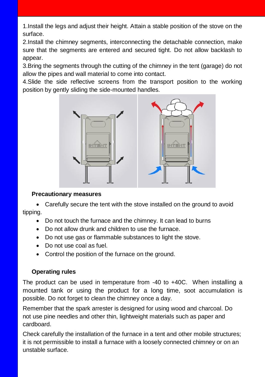1.Install the legs and adjust their height. Attain a stable position of the stove on the surface.

2.Install the chimney segments, interconnecting the detachable connection, make sure that the segments are entered and secured tight. Do not allow backlash to appear.

3.Bring the segments through the cutting of the chimney in the tent (garage) do not allow the pipes and wall material to come into contact.

4.Slide the side reflective screens from the transport position to the working position by gently sliding the side-mounted handles.



#### **Precautionary measures**

 Carefully secure the tent with the stove installed on the ground to avoid tipping.

- Do not touch the furnace and the chimney. It can lead to burns
- Do not allow drunk and children to use the furnace.
- Do not use gas or flammable substances to light the stove.
- Do not use coal as fuel.
- Control the position of the furnace on the ground.

### **Operating rules**

The product can be used in temperature from -40 to +40C. When installing a mounted tank or using the product for a long time, soot accumulation is possible. Do not forget to clean the chimney once a day.

Remember that the spark arrester is designed for using wood and charcoal. Do not use pine needles and other thin, lightweight materials such as paper and cardboard.

Check carefully the installation of the furnace in a tent and other mobile structures; it is not permissible to install a furnace with a loosely connected chimney or on an unstable surface.